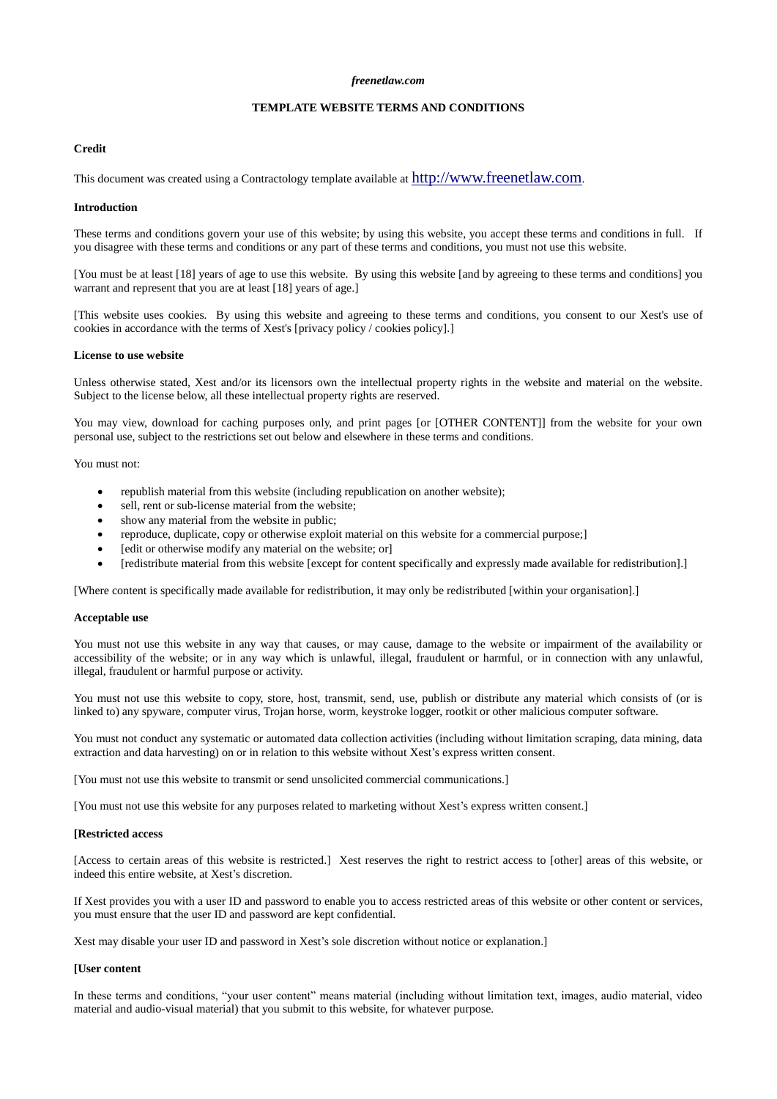#### *freenetlaw.com*

# **TEMPLATE WEBSITE TERMS AND CONDITIONS**

## **Credit**

This document was created using a Contractology template available at [http://www.freenetlaw.com](http://www.freenetlaw.com/).

#### **Introduction**

These terms and conditions govern your use of this website; by using this website, you accept these terms and conditions in full. If you disagree with these terms and conditions or any part of these terms and conditions, you must not use this website.

[You must be at least [18] years of age to use this website. By using this website [and by agreeing to these terms and conditions] you warrant and represent that you are at least [18] years of age.]

[This website uses cookies. By using this website and agreeing to these terms and conditions, you consent to our Xest's use of cookies in accordance with the terms of Xest's [privacy policy / cookies policy].]

#### **License to use website**

Unless otherwise stated, Xest and/or its licensors own the intellectual property rights in the website and material on the website. Subject to the license below, all these intellectual property rights are reserved.

You may view, download for caching purposes only, and print pages [or [OTHER CONTENT]] from the website for your own personal use, subject to the restrictions set out below and elsewhere in these terms and conditions.

You must not:

- republish material from this website (including republication on another website);
- sell, rent or sub-license material from the website;
- show any material from the website in public;
- reproduce, duplicate, copy or otherwise exploit material on this website for a commercial purpose;]
- [edit or otherwise modify any material on the website; or]
- [redistribute material from this website [except for content specifically and expressly made available for redistribution].]

[Where content is specifically made available for redistribution, it may only be redistributed [within your organisation].]

#### **Acceptable use**

You must not use this website in any way that causes, or may cause, damage to the website or impairment of the availability or accessibility of the website; or in any way which is unlawful, illegal, fraudulent or harmful, or in connection with any unlawful, illegal, fraudulent or harmful purpose or activity.

You must not use this website to copy, store, host, transmit, send, use, publish or distribute any material which consists of (or is linked to) any spyware, computer virus, Trojan horse, worm, keystroke logger, rootkit or other malicious computer software.

You must not conduct any systematic or automated data collection activities (including without limitation scraping, data mining, data extraction and data harvesting) on or in relation to this website without Xest's express written consent.

[You must not use this website to transmit or send unsolicited commercial communications.]

[You must not use this website for any purposes related to marketing without Xest's express written consent.]

#### **[Restricted access**

[Access to certain areas of this website is restricted.] Xest reserves the right to restrict access to [other] areas of this website, or indeed this entire website, at Xest's discretion.

If Xest provides you with a user ID and password to enable you to access restricted areas of this website or other content or services, you must ensure that the user ID and password are kept confidential.

Xest may disable your user ID and password in Xest's sole discretion without notice or explanation.]

#### **[User content**

In these terms and conditions, "your user content" means material (including without limitation text, images, audio material, video material and audio-visual material) that you submit to this website, for whatever purpose.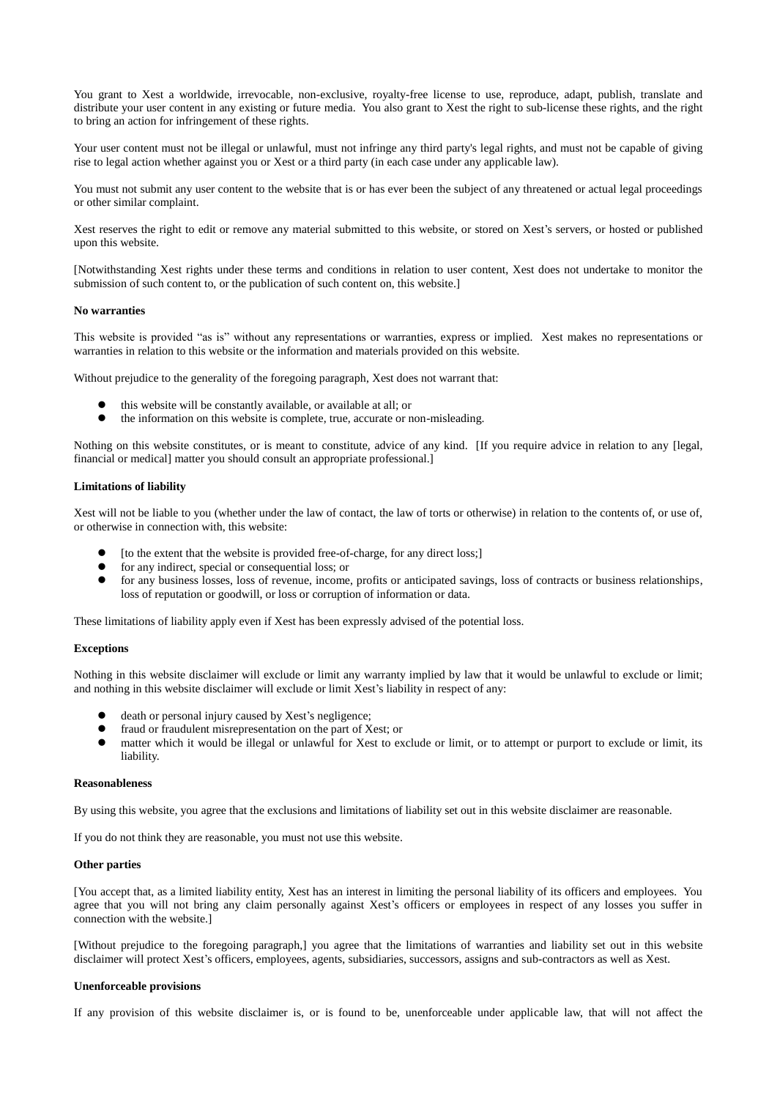You grant to Xest a worldwide, irrevocable, non-exclusive, royalty-free license to use, reproduce, adapt, publish, translate and distribute your user content in any existing or future media. You also grant to Xest the right to sub-license these rights, and the right to bring an action for infringement of these rights.

Your user content must not be illegal or unlawful, must not infringe any third party's legal rights, and must not be capable of giving rise to legal action whether against you or Xest or a third party (in each case under any applicable law).

You must not submit any user content to the website that is or has ever been the subject of any threatened or actual legal proceedings or other similar complaint.

Xest reserves the right to edit or remove any material submitted to this website, or stored on Xest's servers, or hosted or published upon this website.

[Notwithstanding Xest rights under these terms and conditions in relation to user content, Xest does not undertake to monitor the submission of such content to, or the publication of such content on, this website.]

### **No warranties**

This website is provided "as is" without any representations or warranties, express or implied. Xest makes no representations or warranties in relation to this website or the information and materials provided on this website.

Without prejudice to the generality of the foregoing paragraph, Xest does not warrant that:

- this website will be constantly available, or available at all; or
- the information on this website is complete, true, accurate or non-misleading.

Nothing on this website constitutes, or is meant to constitute, advice of any kind. [If you require advice in relation to any [legal, financial or medical] matter you should consult an appropriate professional.]

## **Limitations of liability**

Xest will not be liable to you (whether under the law of contact, the law of torts or otherwise) in relation to the contents of, or use of, or otherwise in connection with, this website:

- [to the extent that the website is provided free-of-charge, for any direct loss;]
- $\bullet$  for any indirect, special or consequential loss; or for any business losses loss of revenue income
- for any business losses, loss of revenue, income, profits or anticipated savings, loss of contracts or business relationships, loss of reputation or goodwill, or loss or corruption of information or data.

These limitations of liability apply even if Xest has been expressly advised of the potential loss.

## **Exceptions**

Nothing in this website disclaimer will exclude or limit any warranty implied by law that it would be unlawful to exclude or limit; and nothing in this website disclaimer will exclude or limit Xest's liability in respect of any:

- death or personal injury caused by Xest's negligence;
- fraud or fraudulent misrepresentation on the part of Xest; or
- matter which it would be illegal or unlawful for Xest to exclude or limit, or to attempt or purport to exclude or limit, its liability.

#### **Reasonableness**

By using this website, you agree that the exclusions and limitations of liability set out in this website disclaimer are reasonable.

If you do not think they are reasonable, you must not use this website.

## **Other parties**

[You accept that, as a limited liability entity, Xest has an interest in limiting the personal liability of its officers and employees. You agree that you will not bring any claim personally against Xest's officers or employees in respect of any losses you suffer in connection with the website.]

[Without prejudice to the foregoing paragraph,] you agree that the limitations of warranties and liability set out in this website disclaimer will protect Xest's officers, employees, agents, subsidiaries, successors, assigns and sub-contractors as well as Xest.

#### **Unenforceable provisions**

If any provision of this website disclaimer is, or is found to be, unenforceable under applicable law, that will not affect the